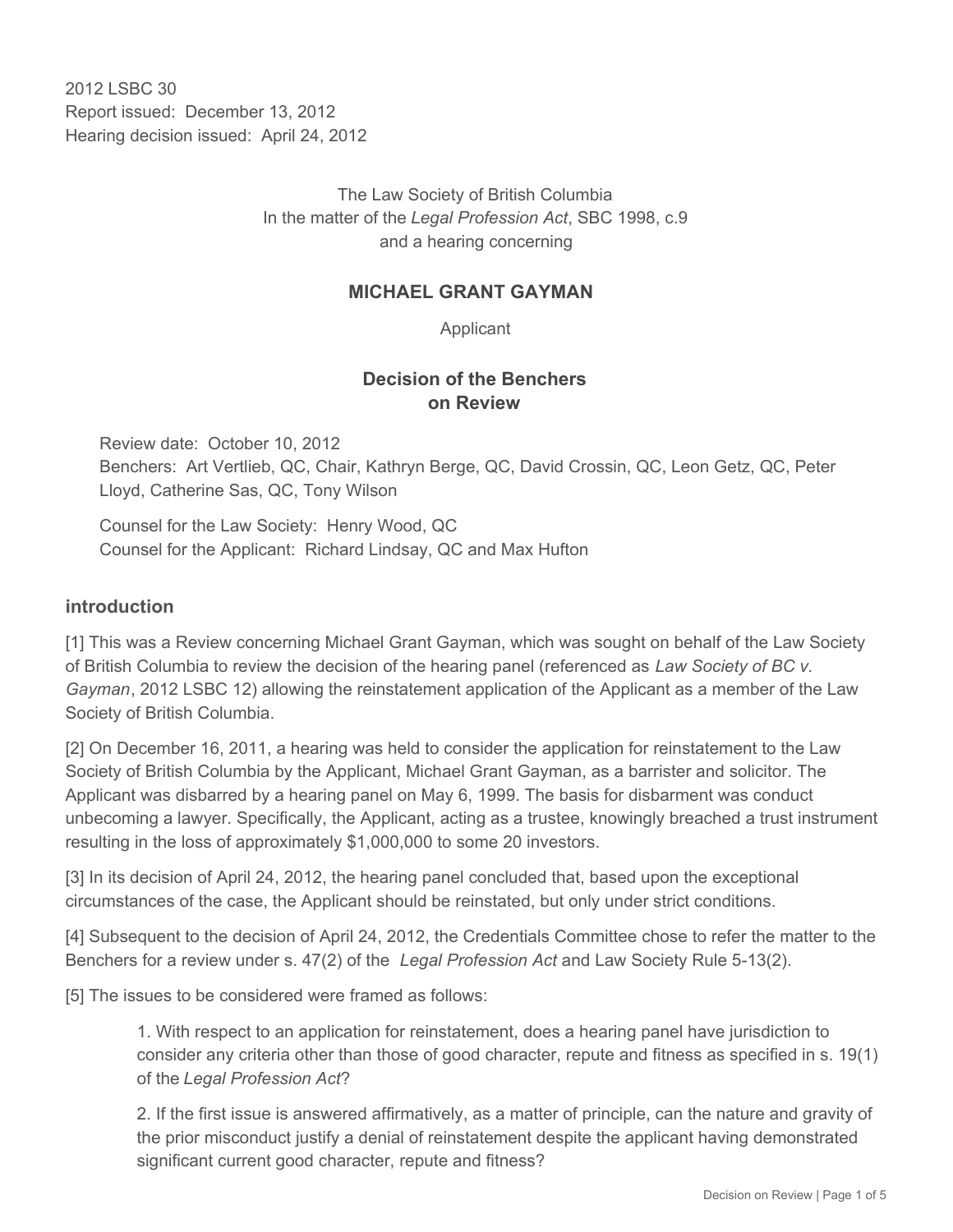2012 LSBC 30 Report issued: December 13, 2012 Hearing decision issued: April 24, 2012

> The Law Society of British Columbia In the matter of the *Legal Profession Act*, SBC 1998, c.9 and a hearing concerning

## **MICHAEL GRANT GAYMAN**

Applicant

## **Decision of the Benchers on Review**

Review date: October 10, 2012 Benchers: Art Vertlieb, QC, Chair, Kathryn Berge, QC, David Crossin, QC, Leon Getz, QC, Peter Lloyd, Catherine Sas, QC, Tony Wilson

Counsel for the Law Society: Henry Wood, QC Counsel for the Applicant: Richard Lindsay, QC and Max Hufton

### **introduction**

[1] This was a Review concerning Michael Grant Gayman, which was sought on behalf of the Law Society of British Columbia to review the decision of the hearing panel (referenced as *Law Society of BC v. Gayman*, 2012 LSBC 12) allowing the reinstatement application of the Applicant as a member of the Law Society of British Columbia.

[2] On December 16, 2011, a hearing was held to consider the application for reinstatement to the Law Society of British Columbia by the Applicant, Michael Grant Gayman, as a barrister and solicitor. The Applicant was disbarred by a hearing panel on May 6, 1999. The basis for disbarment was conduct unbecoming a lawyer. Specifically, the Applicant, acting as a trustee, knowingly breached a trust instrument resulting in the loss of approximately \$1,000,000 to some 20 investors.

[3] In its decision of April 24, 2012, the hearing panel concluded that, based upon the exceptional circumstances of the case, the Applicant should be reinstated, but only under strict conditions.

[4] Subsequent to the decision of April 24, 2012, the Credentials Committee chose to refer the matter to the Benchers for a review under s. 47(2) of the *Legal Profession Act* and Law Society Rule 5-13(2).

[5] The issues to be considered were framed as follows:

1. With respect to an application for reinstatement, does a hearing panel have jurisdiction to consider any criteria other than those of good character, repute and fitness as specified in s. 19(1) of the *Legal Profession Act*?

2. If the first issue is answered affirmatively, as a matter of principle, can the nature and gravity of the prior misconduct justify a denial of reinstatement despite the applicant having demonstrated significant current good character, repute and fitness?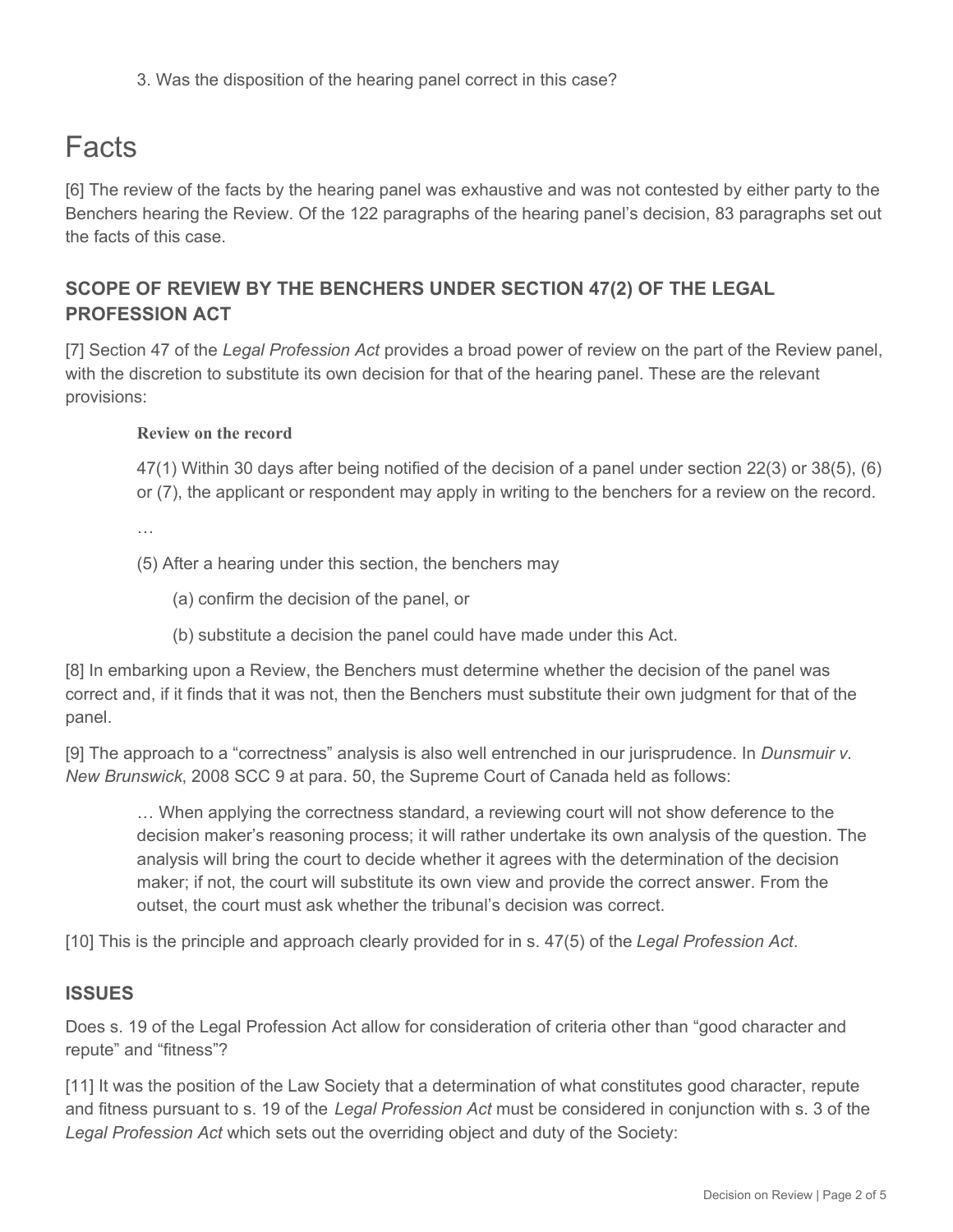3. Was the disposition of the hearing panel correct in this case?

# Facts

[6] The review of the facts by the hearing panel was exhaustive and was not contested by either party to the Benchers hearing the Review. Of the 122 paragraphs of the hearing panel's decision, 83 paragraphs set out the facts of this case.

# **SCOPE OF REVIEW BY THE BENCHERS UNDER SECTION 47(2) OF THE LEGAL PROFESSION ACT**

[7] Section 47 of the *Legal Profession Act* provides a broad power of review on the part of the Review panel, with the discretion to substitute its own decision for that of the hearing panel. These are the relevant provisions:

### **Review on the record**

47(1) Within 30 days after being notified of the decision of a panel under section 22(3) or 38(5), (6) or (7), the applicant or respondent may apply in writing to the benchers for a review on the record.

…

(5) After a hearing under this section, the benchers may

- (a) confirm the decision of the panel, or
- (b) substitute a decision the panel could have made under this Act.

[8] In embarking upon a Review, the Benchers must determine whether the decision of the panel was correct and, if it finds that it was not, then the Benchers must substitute their own judgment for that of the panel.

[9] The approach to a "correctness" analysis is also well entrenched in our jurisprudence. In *Dunsmuir v. New Brunswick*, 2008 SCC 9 at para. 50, the Supreme Court of Canada held as follows:

… When applying the correctness standard, a reviewing court will not show deference to the decision maker's reasoning process; it will rather undertake its own analysis of the question. The analysis will bring the court to decide whether it agrees with the determination of the decision maker; if not, the court will substitute its own view and provide the correct answer. From the outset, the court must ask whether the tribunal's decision was correct.

[10] This is the principle and approach clearly provided for in s. 47(5) of the *Legal Profession Act*.

## **ISSUES**

Does s. 19 of the Legal Profession Act allow for consideration of criteria other than "good character and repute" and "fitness"?

[11] It was the position of the Law Society that a determination of what constitutes good character, repute and fitness pursuant to s. 19 of the *Legal Profession Act* must be considered in conjunction with s. 3 of the *Legal Profession Act* which sets out the overriding object and duty of the Society: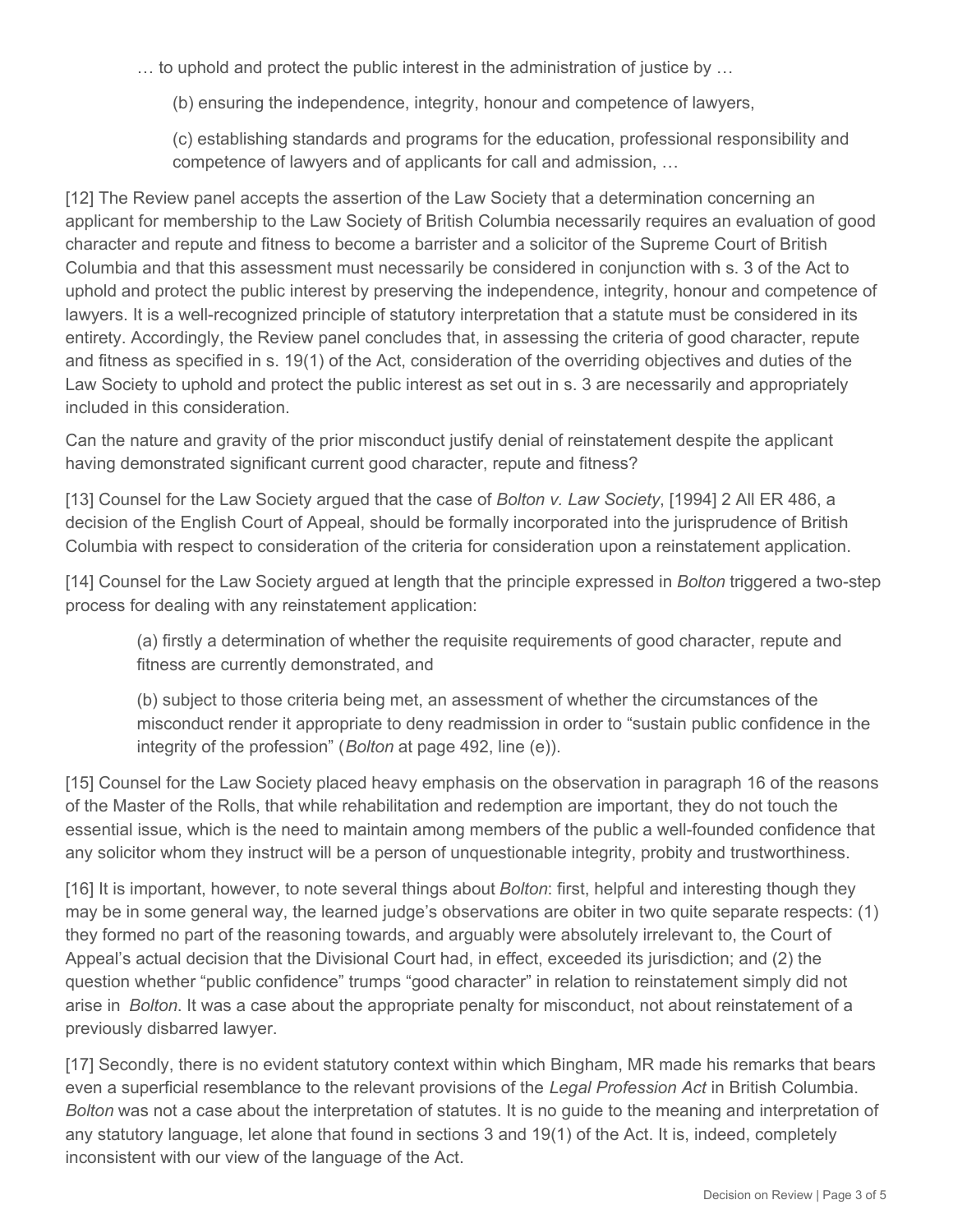… to uphold and protect the public interest in the administration of justice by …

(b) ensuring the independence, integrity, honour and competence of lawyers,

(c) establishing standards and programs for the education, professional responsibility and competence of lawyers and of applicants for call and admission, …

[12] The Review panel accepts the assertion of the Law Society that a determination concerning an applicant for membership to the Law Society of British Columbia necessarily requires an evaluation of good character and repute and fitness to become a barrister and a solicitor of the Supreme Court of British Columbia and that this assessment must necessarily be considered in conjunction with s. 3 of the Act to uphold and protect the public interest by preserving the independence, integrity, honour and competence of lawyers. It is a well-recognized principle of statutory interpretation that a statute must be considered in its entirety. Accordingly, the Review panel concludes that, in assessing the criteria of good character, repute and fitness as specified in s. 19(1) of the Act, consideration of the overriding objectives and duties of the Law Society to uphold and protect the public interest as set out in s. 3 are necessarily and appropriately included in this consideration.

Can the nature and gravity of the prior misconduct justify denial of reinstatement despite the applicant having demonstrated significant current good character, repute and fitness?

[13] Counsel for the Law Society argued that the case of *Bolton v. Law Society*, [1994] 2 All ER 486, a decision of the English Court of Appeal, should be formally incorporated into the jurisprudence of British Columbia with respect to consideration of the criteria for consideration upon a reinstatement application.

[14] Counsel for the Law Society argued at length that the principle expressed in *Bolton* triggered a two-step process for dealing with any reinstatement application:

(a) firstly a determination of whether the requisite requirements of good character, repute and fitness are currently demonstrated, and

(b) subject to those criteria being met, an assessment of whether the circumstances of the misconduct render it appropriate to deny readmission in order to "sustain public confidence in the integrity of the profession" (*Bolton* at page 492, line (e)).

[15] Counsel for the Law Society placed heavy emphasis on the observation in paragraph 16 of the reasons of the Master of the Rolls, that while rehabilitation and redemption are important, they do not touch the essential issue, which is the need to maintain among members of the public a well-founded confidence that any solicitor whom they instruct will be a person of unquestionable integrity, probity and trustworthiness.

[16] It is important, however, to note several things about *Bolton*: first, helpful and interesting though they may be in some general way, the learned judge's observations are obiter in two quite separate respects: (1) they formed no part of the reasoning towards, and arguably were absolutely irrelevant to, the Court of Appeal's actual decision that the Divisional Court had, in effect, exceeded its jurisdiction; and (2) the question whether "public confidence" trumps "good character" in relation to reinstatement simply did not arise in *Bolton*. It was a case about the appropriate penalty for misconduct, not about reinstatement of a previously disbarred lawyer.

[17] Secondly, there is no evident statutory context within which Bingham, MR made his remarks that bears even a superficial resemblance to the relevant provisions of the *Legal Profession Act* in British Columbia. *Bolton* was not a case about the interpretation of statutes. It is no guide to the meaning and interpretation of any statutory language, let alone that found in sections 3 and 19(1) of the Act. It is, indeed, completely inconsistent with our view of the language of the Act.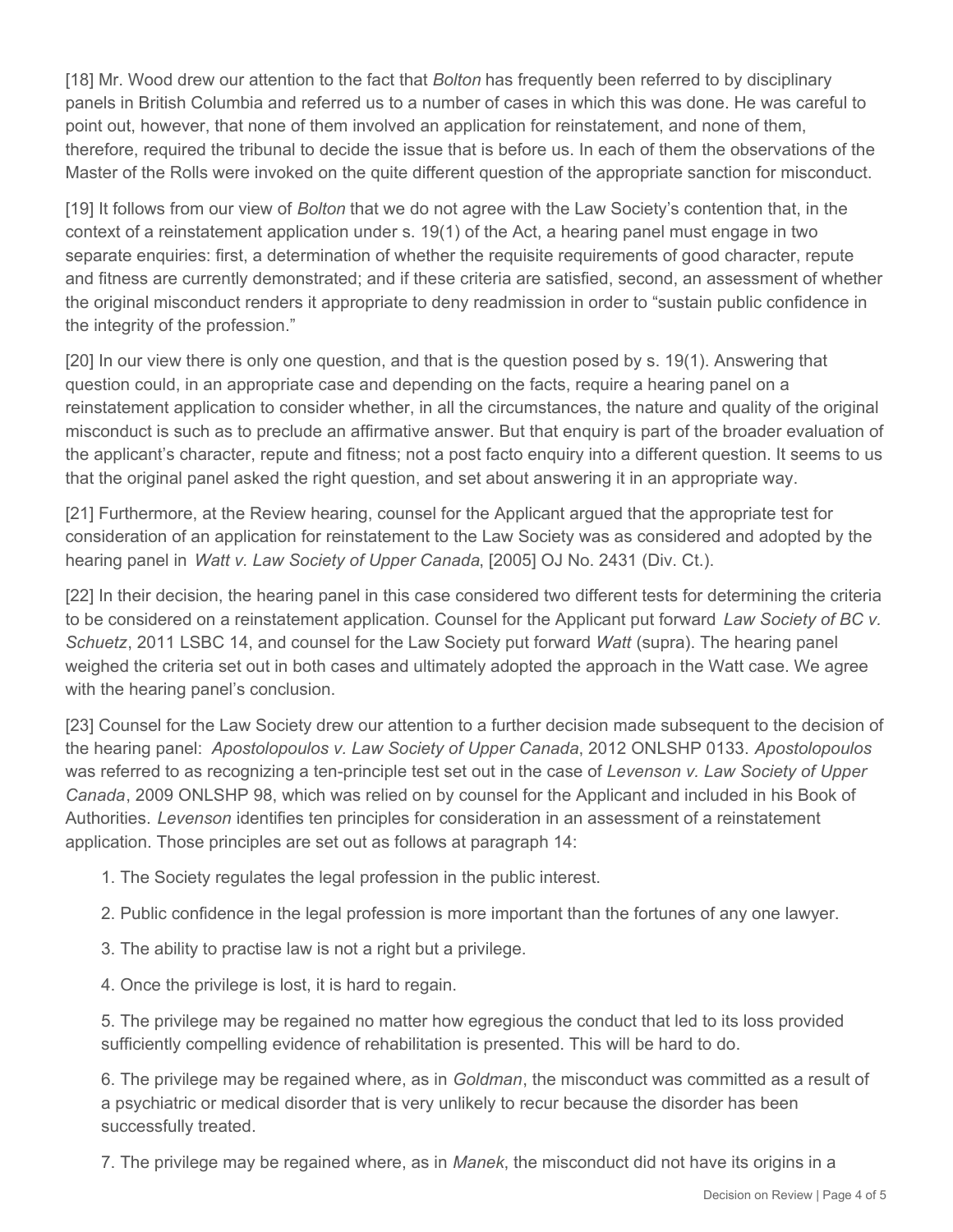[18] Mr. Wood drew our attention to the fact that *Bolton* has frequently been referred to by disciplinary panels in British Columbia and referred us to a number of cases in which this was done. He was careful to point out, however, that none of them involved an application for reinstatement, and none of them, therefore, required the tribunal to decide the issue that is before us. In each of them the observations of the Master of the Rolls were invoked on the quite different question of the appropriate sanction for misconduct.

[19] It follows from our view of *Bolton* that we do not agree with the Law Society's contention that, in the context of a reinstatement application under s. 19(1) of the Act, a hearing panel must engage in two separate enquiries: first, a determination of whether the requisite requirements of good character, repute and fitness are currently demonstrated; and if these criteria are satisfied, second, an assessment of whether the original misconduct renders it appropriate to deny readmission in order to "sustain public confidence in the integrity of the profession."

[20] In our view there is only one question, and that is the question posed by s. 19(1). Answering that question could, in an appropriate case and depending on the facts, require a hearing panel on a reinstatement application to consider whether, in all the circumstances, the nature and quality of the original misconduct is such as to preclude an affirmative answer. But that enquiry is part of the broader evaluation of the applicant's character, repute and fitness; not a post facto enquiry into a different question. It seems to us that the original panel asked the right question, and set about answering it in an appropriate way.

[21] Furthermore, at the Review hearing, counsel for the Applicant argued that the appropriate test for consideration of an application for reinstatement to the Law Society was as considered and adopted by the hearing panel in *Watt v. Law Society of Upper Canada*, [2005] OJ No. 2431 (Div. Ct.).

[22] In their decision, the hearing panel in this case considered two different tests for determining the criteria to be considered on a reinstatement application. Counsel for the Applicant put forward *Law Society of BC v. Schuetz*, 2011 LSBC 14, and counsel for the Law Society put forward *Watt* (supra). The hearing panel weighed the criteria set out in both cases and ultimately adopted the approach in the Watt case. We agree with the hearing panel's conclusion.

[23] Counsel for the Law Society drew our attention to a further decision made subsequent to the decision of the hearing panel: *Apostolopoulos v. Law Society of Upper Canada*, 2012 ONLSHP 0133. *Apostolopoulos*  was referred to as recognizing a ten-principle test set out in the case of *Levenson v. Law Society of Upper Canada*, 2009 ONLSHP 98, which was relied on by counsel for the Applicant and included in his Book of Authorities. *Levenson* identifies ten principles for consideration in an assessment of a reinstatement application. Those principles are set out as follows at paragraph 14:

- 1. The Society regulates the legal profession in the public interest.
- 2. Public confidence in the legal profession is more important than the fortunes of any one lawyer.
- 3. The ability to practise law is not a right but a privilege.
- 4. Once the privilege is lost, it is hard to regain.

5. The privilege may be regained no matter how egregious the conduct that led to its loss provided sufficiently compelling evidence of rehabilitation is presented. This will be hard to do.

6. The privilege may be regained where, as in *Goldman*, the misconduct was committed as a result of a psychiatric or medical disorder that is very unlikely to recur because the disorder has been successfully treated.

7. The privilege may be regained where, as in *Manek*, the misconduct did not have its origins in a